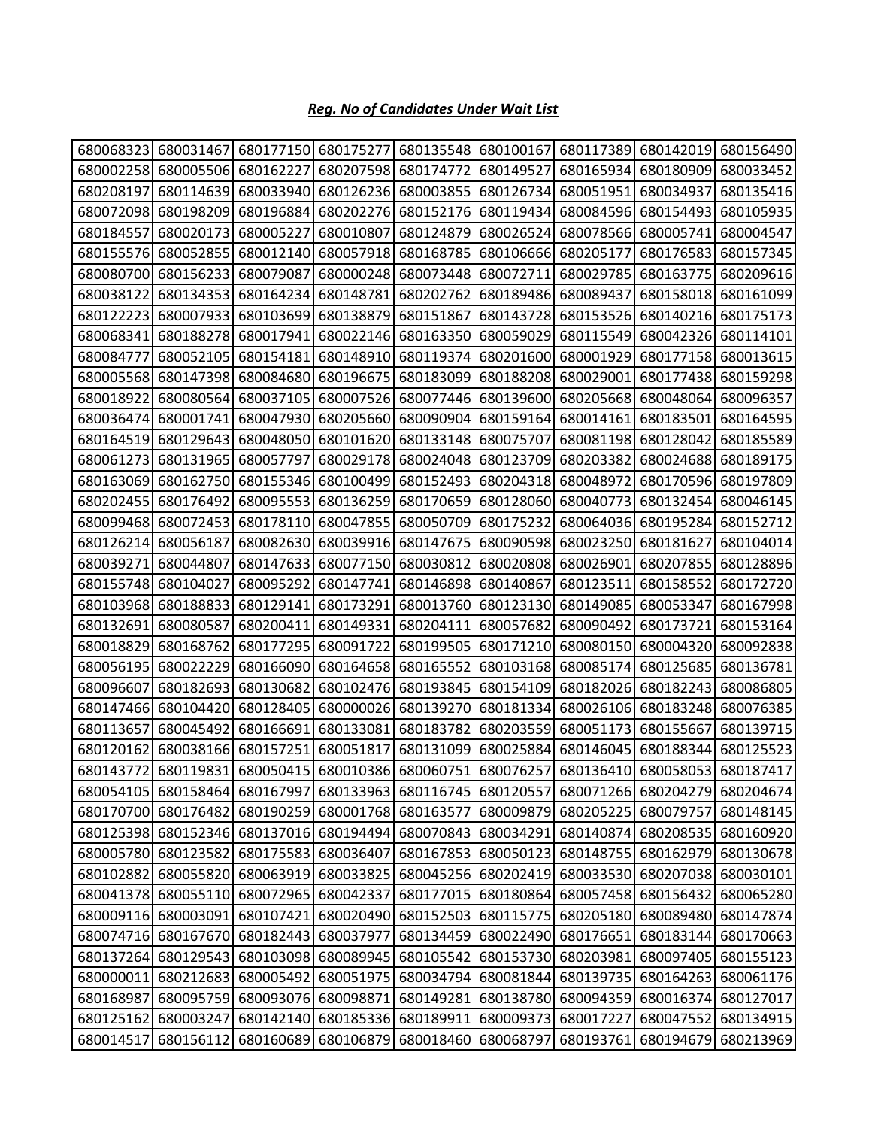## *Reg. No of Candidates Under Wait List*

| 680068323 | 680031467           | 680177150                               | 680175277                     | 680135548 | 680100167                     | 680117389 | 680142019                                                             | 680156490           |
|-----------|---------------------|-----------------------------------------|-------------------------------|-----------|-------------------------------|-----------|-----------------------------------------------------------------------|---------------------|
| 680002258 | 680005506           | 680162227                               | 680207598                     | 680174772 | 680149527                     | 680165934 | 680180909                                                             | 680033452           |
| 680208197 | 680114639           | 680033940                               | 680126236                     | 680003855 | 680126734                     | 680051951 | 680034937                                                             | 680135416           |
| 680072098 | 680198209           | 680196884                               | 680202276                     | 680152176 | 680119434                     | 680084596 | 680154493                                                             | 680105935           |
| 680184557 | 680020173           | 680005227                               | 680010807                     | 680124879 | 680026524                     | 680078566 | 680005741                                                             | 680004547           |
| 680155576 | 680052855           | 680012140                               | 680057918                     | 680168785 | 680106666                     | 680205177 | 680176583                                                             | 680157345           |
| 680080700 | 680156233           | 680079087                               | 680000248                     | 680073448 | 680072711                     | 680029785 | 680163775                                                             | 680209616           |
| 680038122 | 680134353           | 680164234                               | 680148781                     | 680202762 | 680189486                     | 680089437 | 680158018                                                             | 680161099           |
| 680122223 | 680007933           | 680103699                               | 680138879                     | 680151867 | 680143728                     | 680153526 | 680140216                                                             | 680175173           |
| 680068341 | 680188278           | 680017941                               | 680022146                     | 680163350 | 680059029                     | 680115549 | 680042326                                                             | 680114101           |
| 680084777 | 680052105           | 680154181                               | 680148910                     | 680119374 | 680201600                     | 680001929 | 680177158                                                             | 680013615           |
| 680005568 | 680147398           | 680084680                               | 680196675                     | 680183099 | 680188208                     | 680029001 | 680177438                                                             | 680159298           |
| 680018922 | 680080564           | 680037105                               | 680007526                     | 680077446 | 680139600                     | 680205668 | 680048064                                                             | 680096357           |
| 680036474 | 680001741           | 680047930                               | 680205660                     | 680090904 | 680159164                     | 680014161 | 680183501                                                             | 680164595           |
| 680164519 | 680129643           | 680048050                               | 680101620                     | 680133148 | 680075707                     | 680081198 | 680128042                                                             | 680185589           |
| 680061273 | 680131965           | 680057797                               | 680029178                     | 680024048 | 680123709                     | 680203382 | 680024688                                                             | 680189175           |
| 680163069 | 680162750           | 680155346                               | 680100499                     | 680152493 | 680204318                     | 680048972 | 680170596                                                             | 680197809           |
| 680202455 | 680176492           | 680095553                               | 680136259                     | 680170659 | 680128060                     | 680040773 | 680132454                                                             | 680046145           |
| 680099468 | 680072453           | 680178110                               | 680047855                     | 680050709 | 680175232                     | 680064036 | 680195284                                                             | 680152712           |
| 680126214 | 680056187           | 680082630                               | 680039916                     | 680147675 | 680090598                     | 680023250 | 680181627                                                             | 680104014           |
| 680039271 | 680044807           | 680147633                               | 680077150                     | 680030812 | 680020808                     | 680026901 | 680207855                                                             | 680128896           |
| 680155748 | 680104027           | 680095292                               | 680147741                     | 680146898 | 680140867                     | 680123511 | 680158552                                                             | 680172720           |
| 680103968 | 680188833           | 680129141                               | 680173291                     | 680013760 | 680123130                     | 680149085 | 680053347                                                             | 680167998           |
| 680132691 | 680080587           | 680200411                               | 680149331                     | 680204111 | 680057682                     | 680090492 | 680173721                                                             | 680153164           |
| 680018829 | 680168762           | 680177295                               | 680091722                     | 680199505 | 680171210                     | 680080150 | 680004320                                                             | 680092838           |
| 680056195 | 680022229           | 680166090                               | 680164658                     | 680165552 | 680103168                     | 680085174 | 680125685                                                             | 680136781           |
| 680096607 | 680182693           | 680130682                               | 680102476                     | 680193845 | 680154109                     | 680182026 | 680182243                                                             | 680086805           |
| 680147466 | 680104420           | 680128405                               | 680000026                     | 680139270 | 680181334                     | 680026106 | 680183248                                                             | 680076385           |
| 680113657 | 680045492           | 680166691                               | 680133081                     | 680183782 | 680203559                     | 680051173 | 680155667                                                             | 680139715           |
| 680120162 | 680038166           | 680157251                               | 680051817                     | 680131099 | 680025884                     | 680146045 | 680188344                                                             | 680125523           |
|           | 680143772 680119831 |                                         |                               |           |                               |           | 680050415 680010386 680060751 680076257 680136410 680058053 680187417 |                     |
|           | 680054105 680158464 | 680167997                               |                               |           | 680133963 680116745 680120557 |           | 680071266 680204279                                                   | 680204674           |
|           | 680170700 680176482 |                                         | 680190259 680001768 680163577 |           | 680009879                     | 680205225 | 680079757                                                             | 680148145           |
|           |                     | 680125398 680152346 680137016 680194494 |                               |           | 680070843 680034291           | 680140874 |                                                                       | 680208535 680160920 |
| 680005780 | 680123582           | 680175583                               | 680036407                     | 680167853 | 680050123                     | 680148755 | 680162979                                                             | 680130678           |
| 680102882 | 680055820           | 680063919                               | 680033825                     |           | 680045256 680202419           | 680033530 | 680207038                                                             | 680030101           |
| 680041378 | 680055110           | 680072965                               | 680042337                     |           | 680177015 680180864           | 680057458 | 680156432                                                             | 680065280           |
| 680009116 | 680003091           | 680107421                               | 680020490                     | 680152503 | 680115775                     | 680205180 | 680089480                                                             | 680147874           |
|           |                     | 680074716 680167670 680182443 680037977 |                               |           | 680134459 680022490           | 680176651 |                                                                       | 680183144 680170663 |
| 680137264 | 680129543           | 680103098                               | 680089945                     | 680105542 | 680153730                     | 680203981 | 680097405                                                             | 680155123           |
| 680000011 | 680212683           |                                         | 680005492 680051975           |           | 680034794 680081844 680139735 |           | 680164263                                                             | 680061176           |
| 680168987 | 680095759           | 680093076                               | 680098871                     | 680149281 | 680138780                     | 680094359 | 680016374                                                             | 680127017           |
| 680125162 | 680003247           | 680142140                               | 680185336                     | 680189911 | 680009373                     | 680017227 | 680047552                                                             | 680134915           |
| 680014517 | 680156112           |                                         | 680160689 680106879 680018460 |           | 680068797                     | 680193761 | 680194679                                                             | 680213969           |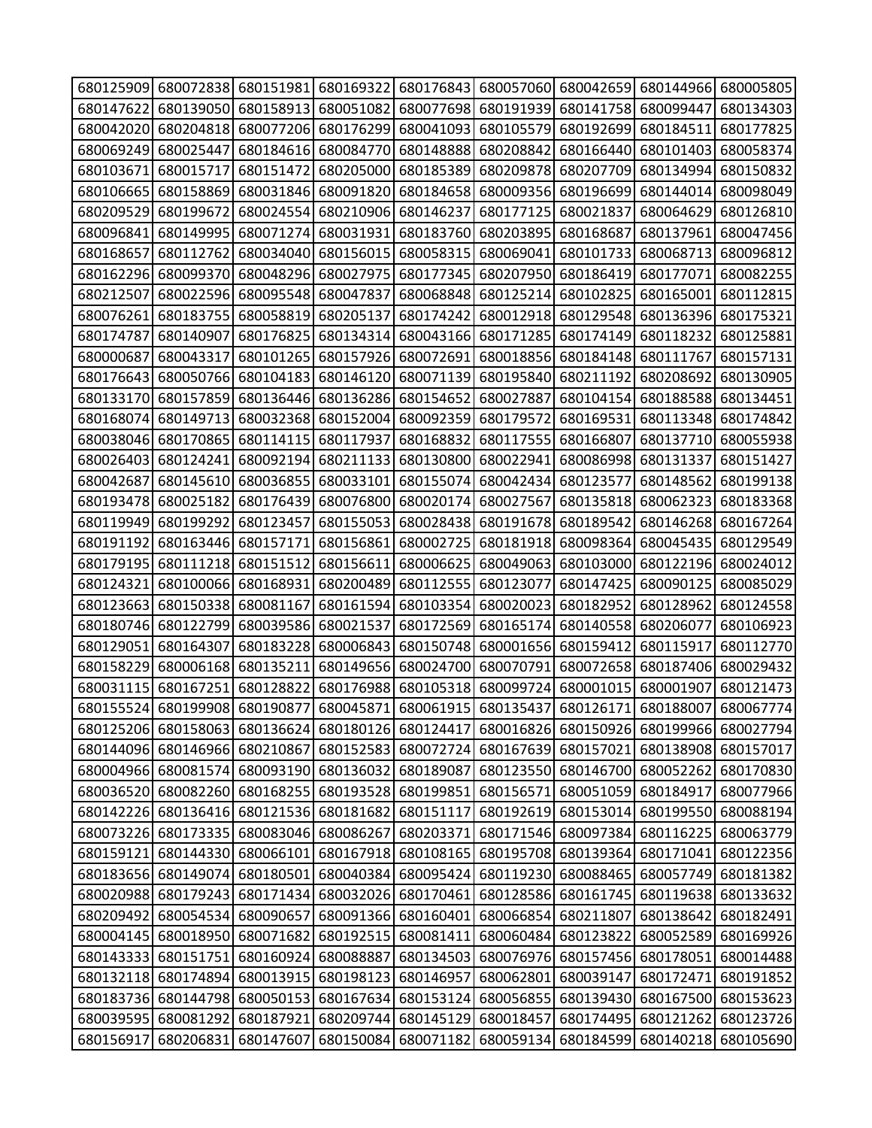|           |                     | 680125909 680072838 680151981 680169322 680176843 680057060 680042659 680144966 680005805 |           |                                                   |                     |                                                   |                     |                     |
|-----------|---------------------|-------------------------------------------------------------------------------------------|-----------|---------------------------------------------------|---------------------|---------------------------------------------------|---------------------|---------------------|
| 680147622 | 680139050           | 680158913 680051082                                                                       |           | 680077698                                         |                     | 680191939 680141758                               | 680099447           | 680134303           |
| 680042020 | 680204818           | 680077206                                                                                 | 680176299 | 680041093                                         | 680105579           | 680192699                                         | 680184511           | 680177825           |
| 680069249 | 680025447           | 680184616                                                                                 | 680084770 | 680148888                                         | 680208842           | 680166440                                         | 680101403           | 680058374           |
| 680103671 | 680015717           | 680151472                                                                                 | 680205000 | 680185389                                         |                     | 680209878 680207709                               | 680134994           | 680150832           |
| 680106665 | 680158869           | 680031846                                                                                 | 680091820 | 680184658                                         | 680009356           | 680196699                                         | 680144014           | 680098049           |
| 680209529 | 680199672           | 680024554                                                                                 | 680210906 | 680146237                                         | 680177125           | 680021837                                         | 680064629           | 680126810           |
| 680096841 | 680149995           | 680071274                                                                                 | 680031931 | 680183760                                         | 680203895           | 680168687                                         | 680137961           | 680047456           |
| 680168657 | 680112762           | 680034040                                                                                 | 680156015 | 680058315                                         | 680069041           | 680101733                                         | 680068713           | 680096812           |
| 680162296 | 680099370           | 680048296                                                                                 | 680027975 | 680177345                                         | 680207950           | 680186419                                         | 680177071           | 680082255           |
| 680212507 | 680022596           | 680095548                                                                                 | 680047837 | 680068848                                         | 680125214           | 680102825                                         | 680165001           | 680112815           |
| 680076261 | 680183755           | 680058819                                                                                 | 680205137 | 680174242                                         |                     | 680012918 680129548                               | 680136396           | 680175321           |
| 680174787 | 680140907           | 680176825                                                                                 | 680134314 | 680043166                                         | 680171285           | 680174149                                         | 680118232           | 680125881           |
| 680000687 | 680043317           | 680101265                                                                                 | 680157926 | 680072691                                         |                     | 680018856 680184148                               | 680111767           | 680157131           |
| 680176643 | 680050766           | 680104183                                                                                 | 680146120 | 680071139                                         | 680195840           | 680211192                                         | 680208692           | 680130905           |
| 680133170 | 680157859           | 680136446                                                                                 | 680136286 | 680154652                                         | 680027887           | 680104154                                         | 680188588           | 680134451           |
| 680168074 | 680149713           | 680032368                                                                                 | 680152004 | 680092359                                         | 680179572           | 680169531                                         | 680113348           | 680174842           |
| 680038046 | 680170865           | 680114115                                                                                 | 680117937 | 680168832                                         | 680117555           | 680166807                                         | 680137710           | 680055938           |
| 680026403 | 680124241           | 680092194                                                                                 | 680211133 | 680130800                                         | 680022941           | 680086998                                         | 680131337           | 680151427           |
| 680042687 | 680145610           | 680036855                                                                                 | 680033101 | 680155074                                         | 680042434           | 680123577                                         | 680148562           | 680199138           |
| 680193478 | 680025182           | 680176439                                                                                 | 680076800 | 680020174                                         | 680027567           | 680135818                                         | 680062323           | 680183368           |
| 680119949 | 680199292           | 680123457                                                                                 | 680155053 | 680028438                                         | 680191678           | 680189542                                         | 680146268           | 680167264           |
| 680191192 | 680163446           | 680157171                                                                                 | 680156861 | 680002725                                         | 680181918           | 680098364                                         | 680045435           | 680129549           |
| 680179195 | 680111218           | 680151512                                                                                 | 680156611 | 680006625                                         |                     | 680049063 680103000                               | 680122196           | 680024012           |
| 680124321 | 680100066           | 680168931                                                                                 | 680200489 | 680112555                                         | 680123077           | 680147425                                         | 680090125           | 680085029           |
| 680123663 | 680150338           | 680081167                                                                                 | 680161594 | 680103354                                         | 680020023           | 680182952                                         | 680128962           | 680124558           |
| 680180746 | 680122799           | 680039586                                                                                 | 680021537 | 680172569                                         | 680165174           | 680140558                                         | 680206077           | 680106923           |
| 680129051 | 680164307           | 680183228                                                                                 | 680006843 | 680150748                                         | 680001656           | 680159412                                         | 680115917           | 680112770           |
| 680158229 | 680006168           | 680135211                                                                                 | 680149656 | 680024700                                         | 680070791           | 680072658                                         | 680187406           | 680029432           |
| 680031115 | 680167251           | 680128822                                                                                 | 680176988 | 680105318                                         | 680099724           | 680001015                                         | 680001907           | 680121473           |
|           |                     | 680155524 680199908 680190877                                                             |           | 680045871 680061915 680135437 680126171 680188007 |                     |                                                   |                     | 680067774           |
|           |                     | 680125206 680158063 680136624 680180126 680124417 680016826 680150926 680199966 680027794 |           |                                                   |                     |                                                   |                     |                     |
|           |                     | 680144096 680146966 680210867 680152583 680072724 680167639 680157021 680138908 680157017 |           |                                                   |                     |                                                   |                     |                     |
|           |                     | 680004966 680081574 680093190                                                             | 680136032 | 680189087                                         |                     | 680123550 680146700 680052262                     |                     | 680170830           |
| 680036520 |                     | 680082260 680168255                                                                       | 680193528 | 680199851                                         | 680156571           | 680051059 680184917                               |                     | 680077966           |
|           |                     | 680142226 680136416 680121536 680181682 680151117                                         |           |                                                   |                     | 680192619 680153014 680199550 680088194           |                     |                     |
|           |                     | 680073226 680173335 680083046 680086267                                                   |           | 680203371                                         |                     | 680171546 680097384 680116225                     |                     | 680063779           |
|           |                     | 680159121 680144330 680066101 680167918 680108165 680195708 680139364 680171041 680122356 |           |                                                   |                     |                                                   |                     |                     |
|           |                     | 680183656 680149074 680180501                                                             | 680040384 | 680095424                                         |                     | 680119230 680088465                               | 680057749           | 680181382           |
| 680020988 | 680179243           |                                                                                           |           | 680171434 680032026 680170461                     |                     | 680128586 680161745 680119638                     |                     | 680133632           |
|           | 680209492 680054534 | 680090657                                                                                 |           | 680091366 680160401                               | 680066854           | 680211807                                         | 680138642           | 680182491           |
|           | 680004145 680018950 | 680071682                                                                                 | 680192515 | 680081411                                         | 680060484           | 680123822                                         | 680052589           | 680169926           |
|           |                     | 680143333 680151751 680160924                                                             | 680088887 |                                                   |                     | 680134503 680076976 680157456 680178051 680014488 |                     |                     |
|           | 680132118 680174894 | 680013915                                                                                 | 680198123 | 680146957                                         | 680062801           | 680039147                                         | 680172471           | 680191852           |
|           |                     | 680183736 680144798 680050153 680167634 680153124 680056855 680139430 680167500 680153623 |           |                                                   |                     |                                                   |                     |                     |
|           | 680039595 680081292 | 680187921                                                                                 | 680209744 | 680145129 680018457                               |                     |                                                   | 680174495 680121262 | 680123726           |
| 680156917 | 680206831           | 680147607                                                                                 | 680150084 |                                                   | 680071182 680059134 | 680184599                                         |                     | 680140218 680105690 |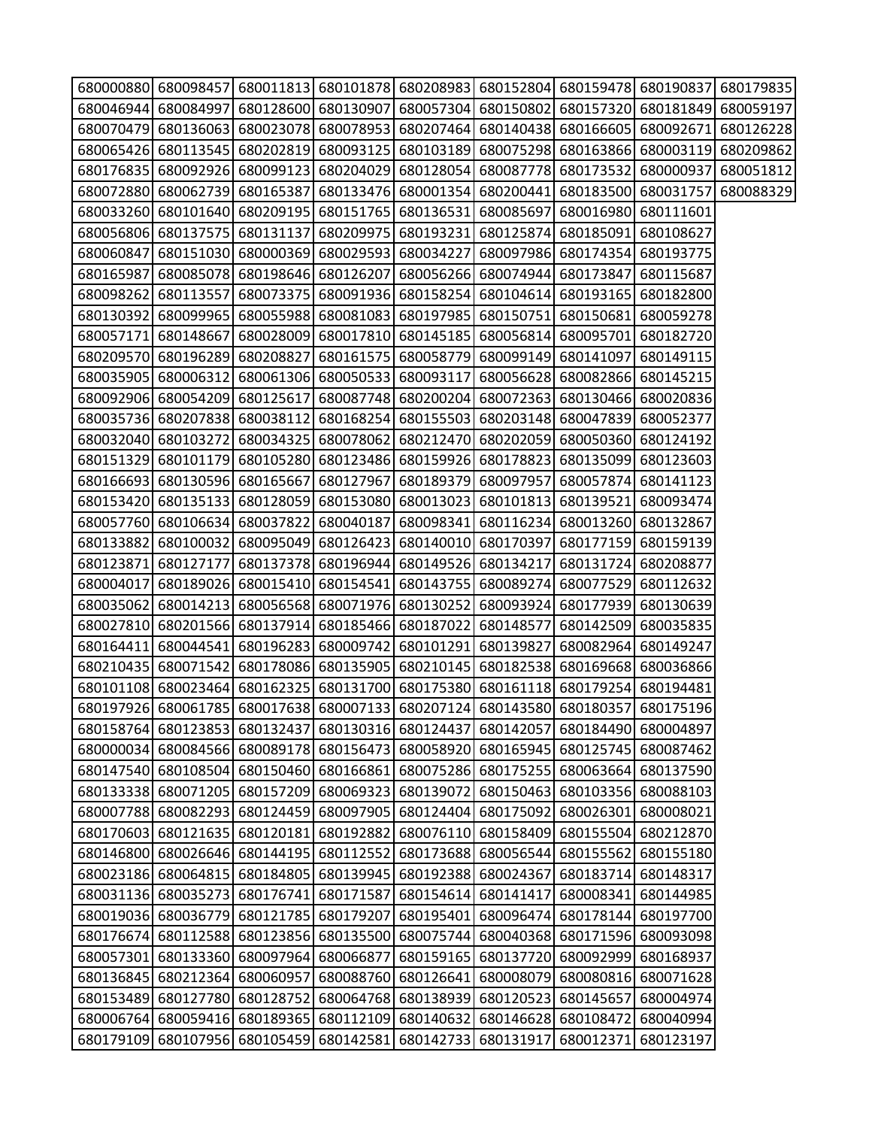|           |                     |                                                   |                     |                                         | 680000880 680098457 680011813 680101878 680208983 680152804 680159478 680190837 680179835 |                               |                     |           |
|-----------|---------------------|---------------------------------------------------|---------------------|-----------------------------------------|-------------------------------------------------------------------------------------------|-------------------------------|---------------------|-----------|
|           | 680046944 680084997 |                                                   |                     |                                         | 680128600 680130907 680057304 680150802 680157320 680181849 680059197                     |                               |                     |           |
| 680070479 |                     |                                                   |                     |                                         | 680136063 680023078 680078953 680207464 680140438 680166605 680092671                     |                               |                     | 680126228 |
|           |                     |                                                   |                     |                                         | 680065426 680113545 680202819 680093125 680103189 680075298 680163866 680003119           |                               |                     | 680209862 |
|           |                     |                                                   |                     |                                         | 680176835 680092926 680099123 680204029 680128054 680087778 680173532                     |                               | 680000937 680051812 |           |
|           |                     |                                                   |                     |                                         | 680072880 680062739 680165387 680133476 680001354 680200441 680183500 680031757           |                               |                     | 680088329 |
|           |                     |                                                   |                     |                                         | 680033260 680101640 680209195 680151765 680136531 680085697 680016980 680111601           |                               |                     |           |
|           |                     |                                                   |                     |                                         | 680056806 680137575 680131137 680209975 680193231 680125874                               | 680185091 680108627           |                     |           |
|           |                     | 680060847 680151030 680000369 680029593 680034227 |                     |                                         |                                                                                           | 680097986 680174354 680193775 |                     |           |
| 680165987 |                     | 680085078 680198646 680126207                     |                     |                                         | 680056266 680074944                                                                       | 680173847                     | 680115687           |           |
|           | 680098262 680113557 |                                                   |                     |                                         | 680073375 680091936 680158254 680104614 680193165                                         |                               | 680182800           |           |
|           |                     |                                                   |                     |                                         | 680130392 680099965 680055988 680081083 680197985 680150751 680150681                     |                               | 680059278           |           |
| 680057171 | 680148667           |                                                   | 680028009 680017810 |                                         | 680145185 680056814                                                                       | 680095701                     | 680182720           |           |
|           |                     |                                                   |                     |                                         | 680209570 680196289 680208827 680161575 680058779 680099149 680141097                     |                               | 680149115           |           |
|           |                     | 680035905 680006312 680061306 680050533 680093117 |                     |                                         | 680056628                                                                                 | 680082866 680145215           |                     |           |
|           |                     |                                                   |                     |                                         | 680092906 680054209 680125617 680087748 680200204 680072363                               | 680130466 680020836           |                     |           |
|           |                     |                                                   |                     |                                         | 680035736 680207838 680038112 680168254 680155503 680203148 680047839                     |                               | 680052377           |           |
|           | 680032040 680103272 | 680034325 680078062                               |                     |                                         | 680212470 680202059 680050360                                                             |                               | 680124192           |           |
|           |                     |                                                   |                     |                                         | 680151329 680101179 680105280 680123486 680159926 680178823 680135099 680123603           |                               |                     |           |
|           |                     | 680166693 680130596 680165667 680127967           |                     |                                         | 680189379 680097957                                                                       | 680057874                     | 680141123           |           |
|           |                     |                                                   |                     |                                         | 680153420 680135133 680128059 680153080 680013023 680101813 680139521 680093474           |                               |                     |           |
| 680057760 |                     | 680106634 680037822 680040187                     |                     |                                         | 680098341 680116234                                                                       | 680013260                     | 680132867           |           |
| 680133882 | 680100032           | 680095049 680126423                               |                     |                                         | 680140010 680170397                                                                       | 680177159                     | 680159139           |           |
|           | 680123871 680127177 |                                                   |                     | 680137378 680196944 680149526 680134217 |                                                                                           | 680131724                     | 680208877           |           |
| 680004017 |                     | 680189026 680015410 680154541                     |                     |                                         | 680143755 680089274 680077529                                                             |                               | 680112632           |           |
|           |                     |                                                   |                     |                                         | 680035062 680014213 680056568 680071976 680130252 680093924 680177939 680130639           |                               |                     |           |
| 680027810 |                     | 680201566 680137914 680185466 680187022 680148577 |                     |                                         |                                                                                           | 680142509                     | 680035835           |           |
|           | 680164411 680044541 |                                                   |                     | 680196283 680009742 680101291 680139827 |                                                                                           | 680082964 680149247           |                     |           |
|           | 680210435 680071542 |                                                   |                     |                                         | 680178086 680135905 680210145 680182538                                                   | 680169668 680036866           |                     |           |
|           |                     |                                                   |                     |                                         | 680101108 680023464 680162325 680131700 680175380 680161118 680179254                     |                               | 680194481           |           |
|           |                     |                                                   |                     |                                         | 680197926 680061785 680017638 680007133 680207124 680143580 680180357 680175196           |                               |                     |           |
|           |                     |                                                   |                     |                                         | 680158764 680123853 680132437 680130316 680124437 680142057                               | 680184490                     | 680004897           |           |
|           |                     | 680000034 680084566 680089178 680156473           |                     |                                         | 680058920 680165945 680125745                                                             |                               | 680087462           |           |
| 680147540 |                     | 680108504 680150460 680166861                     |                     |                                         | 680075286 680175255                                                                       | 680063664                     | 680137590           |           |
| 680133338 |                     | 680071205 680157209 680069323                     |                     | 680139072                               | 680150463                                                                                 | 680103356                     | 680088103           |           |
| 680007788 |                     | 680082293 680124459 680097905                     |                     | 680124404                               | 680175092                                                                                 | 680026301                     | 680008021           |           |
| 680170603 |                     | 680121635 680120181                               | 680192882           |                                         | 680076110 680158409                                                                       | 680155504                     | 680212870           |           |
|           |                     | 680146800 680026646 680144195 680112552           |                     |                                         | 680173688 680056544                                                                       | 680155562                     | 680155180           |           |
|           |                     | 680023186 680064815 680184805                     | 680139945           |                                         | 680192388 680024367                                                                       | 680183714                     | 680148317           |           |
|           |                     | 680031136 680035273 680176741 680171587           |                     |                                         | 680154614 680141417                                                                       | 680008341                     | 680144985           |           |
| 680019036 | 680036779           | 680121785                                         | 680179207           | 680195401                               | 680096474                                                                                 | 680178144                     | 680197700           |           |
| 680176674 | 680112588           | 680123856 680135500                               |                     | 680075744                               | 680040368                                                                                 | 680171596                     | 680093098           |           |
| 680057301 |                     | 680133360 680097964                               | 680066877           |                                         | 680159165 680137720                                                                       | 680092999                     | 680168937           |           |
| 680136845 | 680212364           | 680060957                                         | 680088760           | 680126641                               | 680008079                                                                                 | 680080816                     | 680071628           |           |
| 680153489 | 680127780           | 680128752 680064768                               |                     |                                         | 680138939 680120523                                                                       | 680145657                     | 680004974           |           |
| 680006764 |                     | 680059416 680189365                               | 680112109           | 680140632                               | 680146628                                                                                 | 680108472                     | 680040994           |           |
| 680179109 |                     | 680107956 680105459                               | 680142581           |                                         | 680142733 680131917                                                                       | 680012371                     | 680123197           |           |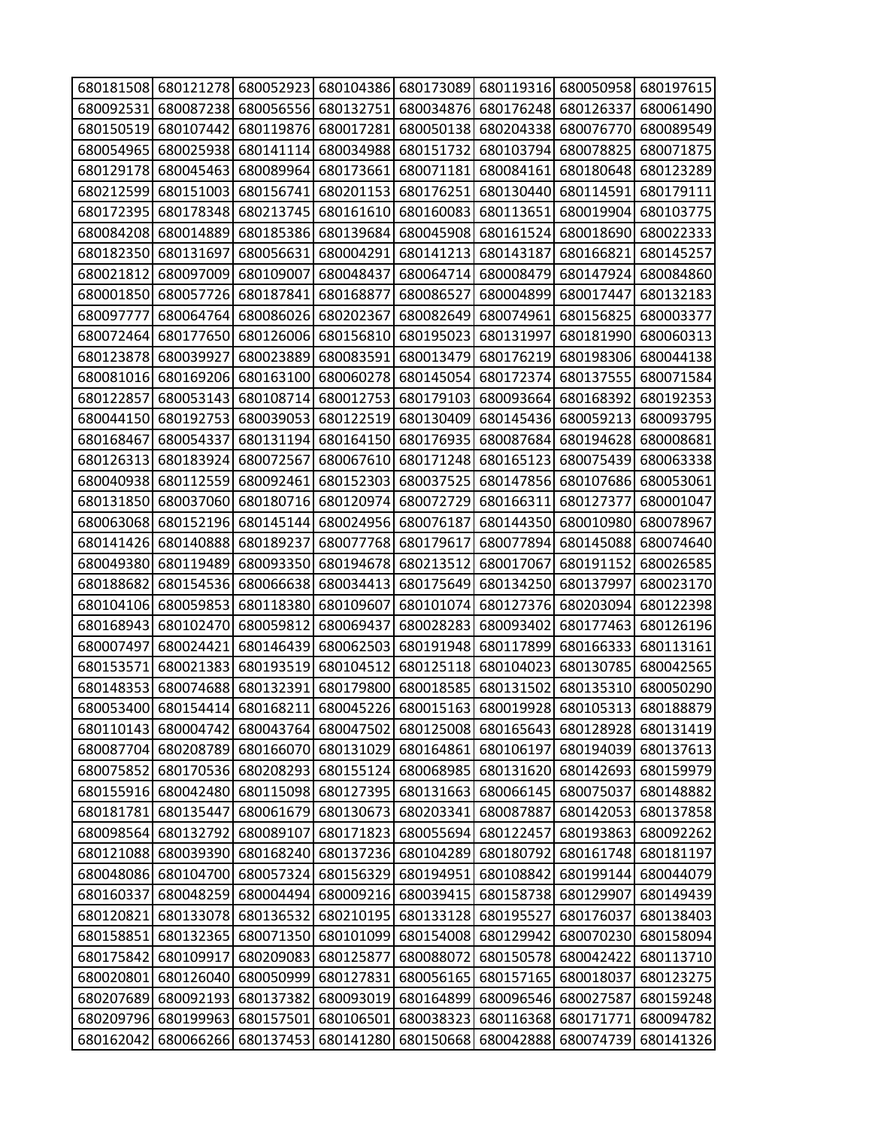| 680181508 |           | 680121278 680052923 680104386 |                               | 680173089           | 680119316                                                                       | 680050958                     | 680197615 |
|-----------|-----------|-------------------------------|-------------------------------|---------------------|---------------------------------------------------------------------------------|-------------------------------|-----------|
| 680092531 | 680087238 | 680056556                     | 680132751                     | 680034876           | 680176248                                                                       | 680126337                     | 680061490 |
| 680150519 | 680107442 | 680119876                     | 680017281                     | 680050138           | 680204338                                                                       | 680076770                     | 680089549 |
| 680054965 | 680025938 | 680141114                     | 680034988                     | 680151732           | 680103794                                                                       | 680078825                     | 680071875 |
| 680129178 | 680045463 | 680089964                     | 680173661                     | 680071181           | 680084161                                                                       | 680180648                     | 680123289 |
| 680212599 | 680151003 | 680156741                     | 680201153                     | 680176251           | 680130440                                                                       | 680114591                     | 680179111 |
| 680172395 | 680178348 | 680213745                     | 680161610                     | 680160083           | 680113651                                                                       | 680019904                     | 680103775 |
| 680084208 | 680014889 | 680185386                     | 680139684                     | 680045908           | 680161524                                                                       | 680018690                     | 680022333 |
| 680182350 | 680131697 | 680056631                     | 680004291                     | 680141213           | 680143187                                                                       | 680166821                     | 680145257 |
| 680021812 | 680097009 | 680109007                     | 680048437                     | 680064714           | 680008479                                                                       | 680147924                     | 680084860 |
| 680001850 | 680057726 | 680187841                     | 680168877                     | 680086527           | 680004899                                                                       | 680017447                     | 680132183 |
| 680097777 | 680064764 | 680086026                     | 680202367                     | 680082649           | 680074961                                                                       | 680156825                     | 680003377 |
| 680072464 | 680177650 | 680126006                     | 680156810                     | 680195023           | 680131997                                                                       | 680181990                     | 680060313 |
| 680123878 | 680039927 | 680023889                     | 680083591                     | 680013479           | 680176219                                                                       | 680198306                     | 680044138 |
| 680081016 | 680169206 | 680163100                     | 680060278                     | 680145054           | 680172374                                                                       | 680137555                     | 680071584 |
| 680122857 | 680053143 | 680108714                     | 680012753                     | 680179103           | 680093664                                                                       | 680168392                     | 680192353 |
| 680044150 | 680192753 | 680039053                     | 680122519                     | 680130409           | 680145436                                                                       | 680059213                     | 680093795 |
| 680168467 | 680054337 | 680131194                     | 680164150                     | 680176935           | 680087684                                                                       | 680194628                     | 680008681 |
| 680126313 | 680183924 | 680072567                     | 680067610                     | 680171248           | 680165123                                                                       | 680075439                     | 680063338 |
| 680040938 | 680112559 | 680092461                     | 680152303                     | 680037525           | 680147856                                                                       | 680107686                     | 680053061 |
| 680131850 | 680037060 | 680180716                     | 680120974                     | 680072729           | 680166311                                                                       | 680127377                     | 680001047 |
| 680063068 | 680152196 | 680145144                     | 680024956                     | 680076187           | 680144350                                                                       | 680010980                     | 680078967 |
| 680141426 | 680140888 | 680189237                     | 680077768                     | 680179617           | 680077894                                                                       | 680145088                     | 680074640 |
| 680049380 | 680119489 | 680093350                     | 680194678                     | 680213512           | 680017067                                                                       | 680191152                     | 680026585 |
| 680188682 | 680154536 | 680066638                     | 680034413                     | 680175649           | 680134250                                                                       | 680137997                     | 680023170 |
| 680104106 | 680059853 | 680118380                     | 680109607                     | 680101074           | 680127376                                                                       | 680203094                     | 680122398 |
| 680168943 | 680102470 | 680059812                     | 680069437                     | 680028283           | 680093402                                                                       | 680177463                     | 680126196 |
| 680007497 | 680024421 | 680146439                     | 680062503                     | 680191948           | 680117899                                                                       | 680166333                     | 680113161 |
| 680153571 | 680021383 | 680193519                     | 680104512                     | 680125118           | 680104023                                                                       | 680130785                     | 680042565 |
| 680148353 | 680074688 | 680132391                     | 680179800                     | 680018585           | 680131502                                                                       | 680135310                     | 680050290 |
| 680053400 | 680154414 | 680168211                     | 680045226                     | 680015163           | 680019928                                                                       | 680105313                     | 680188879 |
|           |           |                               |                               |                     | 680110143 680004742 680043764 680047502 680125008 680165643 680128928 680131419 |                               |           |
| 680087704 | 680208789 |                               | 680166070 680131029 680164861 |                     |                                                                                 | 680106197 680194039 680137613 |           |
| 680075852 | 680170536 | 680208293                     | 680155124                     | 680068985           | 680131620                                                                       | 680142693                     | 680159979 |
| 680155916 | 680042480 | 680115098                     | 680127395                     | 680131663           | 680066145                                                                       | 680075037                     | 680148882 |
| 680181781 | 680135447 | 680061679                     | 680130673                     | 680203341           | 680087887                                                                       | 680142053                     | 680137858 |
| 680098564 | 680132792 | 680089107                     | 680171823                     | 680055694           | 680122457                                                                       | 680193863                     | 680092262 |
| 680121088 | 680039390 |                               | 680168240 680137236 680104289 |                     | 680180792                                                                       | 680161748                     | 680181197 |
| 680048086 | 680104700 | 680057324                     | 680156329                     | 680194951           | 680108842                                                                       | 680199144                     | 680044079 |
| 680160337 | 680048259 | 680004494                     |                               | 680009216 680039415 | 680158738                                                                       | 680129907                     | 680149439 |
| 680120821 | 680133078 | 680136532                     | 680210195                     | 680133128           | 680195527                                                                       | 680176037                     | 680138403 |
| 680158851 | 680132365 | 680071350                     | 680101099                     | 680154008           | 680129942                                                                       | 680070230                     | 680158094 |
| 680175842 | 680109917 | 680209083                     | 680125877                     | 680088072           | 680150578                                                                       | 680042422                     | 680113710 |
| 680020801 | 680126040 | 680050999                     | 680127831                     | 680056165           | 680157165                                                                       | 680018037                     | 680123275 |
| 680207689 | 680092193 |                               | 680137382 680093019           | 680164899           | 680096546                                                                       | 680027587                     | 680159248 |
| 680209796 | 680199963 | 680157501                     | 680106501                     | 680038323           | 680116368                                                                       | 680171771                     | 680094782 |
| 680162042 | 680066266 | 680137453                     | 680141280                     | 680150668           | 680042888                                                                       | 680074739                     | 680141326 |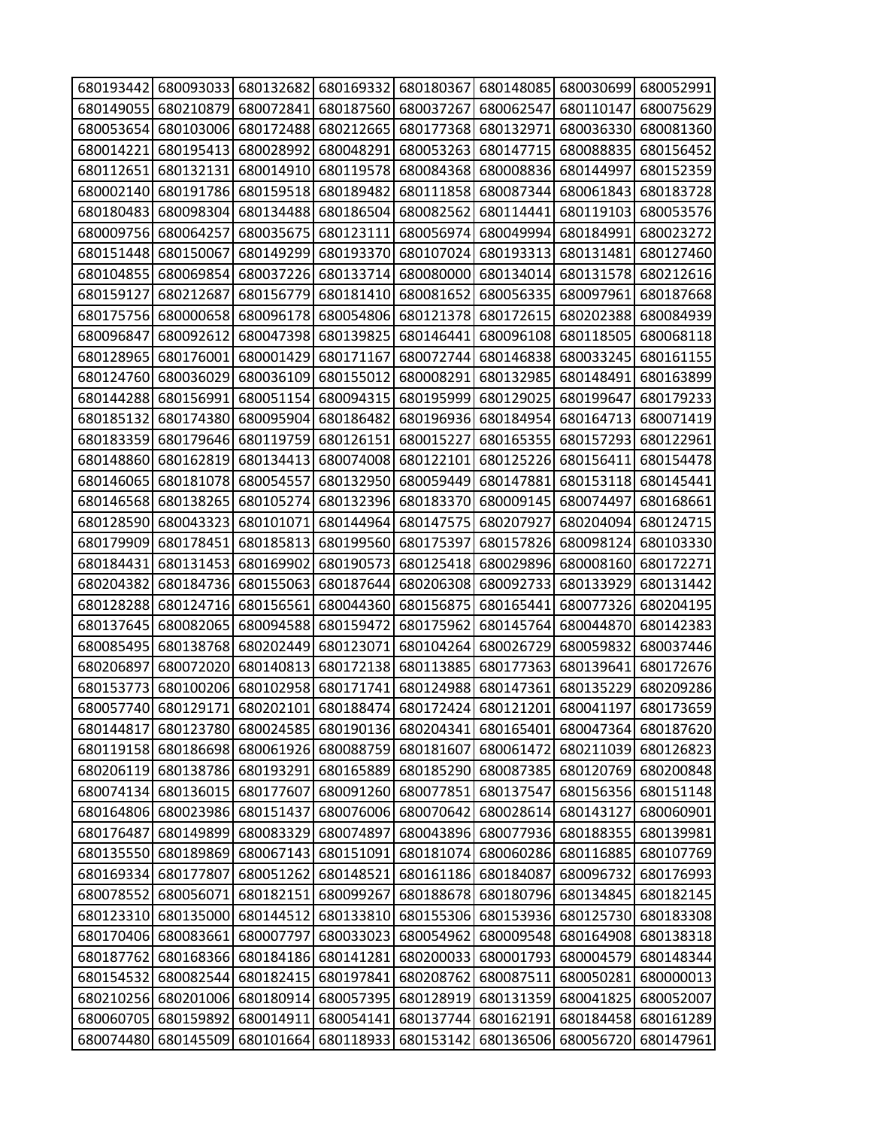| 680193442 |                     | 680093033 680132682                               | 680169332                     | 680180367 | 680148085 | 680030699                     | 680052991 |
|-----------|---------------------|---------------------------------------------------|-------------------------------|-----------|-----------|-------------------------------|-----------|
| 680149055 | 680210879           | 680072841                                         | 680187560                     | 680037267 | 680062547 | 680110147                     | 680075629 |
| 680053654 | 680103006           | 680172488                                         | 680212665                     | 680177368 | 680132971 | 680036330                     | 680081360 |
| 680014221 | 680195413           | 680028992                                         | 680048291                     | 680053263 | 680147715 | 680088835                     | 680156452 |
| 680112651 | 680132131           | 680014910                                         | 680119578                     | 680084368 | 680008836 | 680144997                     | 680152359 |
| 680002140 | 680191786           | 680159518                                         | 680189482                     | 680111858 | 680087344 | 680061843                     | 680183728 |
| 680180483 | 680098304           | 680134488                                         | 680186504                     | 680082562 | 680114441 | 680119103                     | 680053576 |
| 680009756 | 680064257           | 680035675                                         | 680123111                     | 680056974 | 680049994 | 680184991                     | 680023272 |
| 680151448 | 680150067           | 680149299                                         | 680193370                     | 680107024 | 680193313 | 680131481                     | 680127460 |
| 680104855 | 680069854           | 680037226                                         | 680133714                     | 680080000 | 680134014 | 680131578                     | 680212616 |
| 680159127 | 680212687           | 680156779                                         | 680181410                     | 680081652 | 680056335 | 680097961                     | 680187668 |
| 680175756 | 680000658           | 680096178                                         | 680054806                     | 680121378 | 680172615 | 680202388                     | 680084939 |
| 680096847 | 680092612           | 680047398                                         | 680139825                     | 680146441 | 680096108 | 680118505                     | 680068118 |
| 680128965 | 680176001           | 680001429                                         | 680171167                     | 680072744 | 680146838 | 680033245                     | 680161155 |
| 680124760 | 680036029           | 680036109                                         | 680155012                     | 680008291 | 680132985 | 680148491                     | 680163899 |
| 680144288 | 680156991           | 680051154                                         | 680094315                     | 680195999 | 680129025 | 680199647                     | 680179233 |
| 680185132 | 680174380           | 680095904                                         | 680186482                     | 680196936 | 680184954 | 680164713                     | 680071419 |
| 680183359 | 680179646           | 680119759                                         | 680126151                     | 680015227 | 680165355 | 680157293                     | 680122961 |
| 680148860 | 680162819           | 680134413                                         | 680074008                     | 680122101 | 680125226 | 680156411                     | 680154478 |
| 680146065 | 680181078           | 680054557                                         | 680132950                     | 680059449 | 680147881 | 680153118                     | 680145441 |
| 680146568 | 680138265           | 680105274                                         | 680132396                     | 680183370 | 680009145 | 680074497                     | 680168661 |
| 680128590 | 680043323           | 680101071                                         | 680144964                     | 680147575 | 680207927 | 680204094                     | 680124715 |
| 680179909 | 680178451           | 680185813                                         | 680199560                     | 680175397 | 680157826 | 680098124                     | 680103330 |
| 680184431 | 680131453           | 680169902                                         | 680190573                     | 680125418 | 680029896 | 680008160                     | 680172271 |
| 680204382 | 680184736           | 680155063                                         | 680187644                     | 680206308 | 680092733 | 680133929                     | 680131442 |
| 680128288 | 680124716           | 680156561                                         | 680044360                     | 680156875 | 680165441 | 680077326                     | 680204195 |
| 680137645 | 680082065           | 680094588                                         | 680159472                     | 680175962 | 680145764 | 680044870                     | 680142383 |
| 680085495 | 680138768           | 680202449                                         | 680123071                     | 680104264 | 680026729 | 680059832                     | 680037446 |
| 680206897 | 680072020           | 680140813                                         | 680172138                     | 680113885 | 680177363 | 680139641                     | 680172676 |
| 680153773 | 680100206           | 680102958                                         | 680171741                     | 680124988 | 680147361 | 680135229                     | 680209286 |
| 680057740 | 680129171           | 680202101                                         | 680188474                     | 680172424 | 680121201 | 680041197                     | 680173659 |
|           |                     | 680144817 680123780 680024585 680190136 680204341 |                               |           |           | 680165401 680047364 680187620 |           |
|           | 680119158 680186698 |                                                   | 680061926 680088759 680181607 |           |           | 680061472 680211039 680126823 |           |
| 680206119 | 680138786           | 680193291                                         | 680165889                     | 680185290 | 680087385 | 680120769                     | 680200848 |
| 680074134 | 680136015           | 680177607                                         | 680091260                     | 680077851 | 680137547 | 680156356                     | 680151148 |
| 680164806 | 680023986           | 680151437                                         | 680076006                     | 680070642 | 680028614 | 680143127                     | 680060901 |
| 680176487 | 680149899           | 680083329                                         | 680074897                     | 680043896 | 680077936 | 680188355                     | 680139981 |
| 680135550 | 680189869           | 680067143 680151091                               |                               | 680181074 | 680060286 | 680116885                     | 680107769 |
| 680169334 | 680177807           | 680051262                                         | 680148521                     | 680161186 | 680184087 | 680096732                     | 680176993 |
| 680078552 | 680056071           | 680182151                                         | 680099267                     | 680188678 | 680180796 | 680134845                     | 680182145 |
| 680123310 | 680135000           | 680144512                                         | 680133810                     | 680155306 | 680153936 | 680125730                     | 680183308 |
| 680170406 | 680083661           | 680007797                                         | 680033023                     | 680054962 | 680009548 | 680164908                     | 680138318 |
| 680187762 | 680168366           | 680184186                                         | 680141281                     | 680200033 | 680001793 | 680004579                     | 680148344 |
| 680154532 | 680082544           | 680182415                                         | 680197841                     | 680208762 | 680087511 | 680050281                     | 680000013 |
|           | 680210256 680201006 |                                                   | 680180914 680057395           | 680128919 | 680131359 | 680041825                     | 680052007 |
| 680060705 | 680159892           | 680014911                                         | 680054141                     | 680137744 | 680162191 | 680184458                     | 680161289 |
| 680074480 | 680145509           | 680101664                                         | 680118933                     | 680153142 | 680136506 | 680056720                     | 680147961 |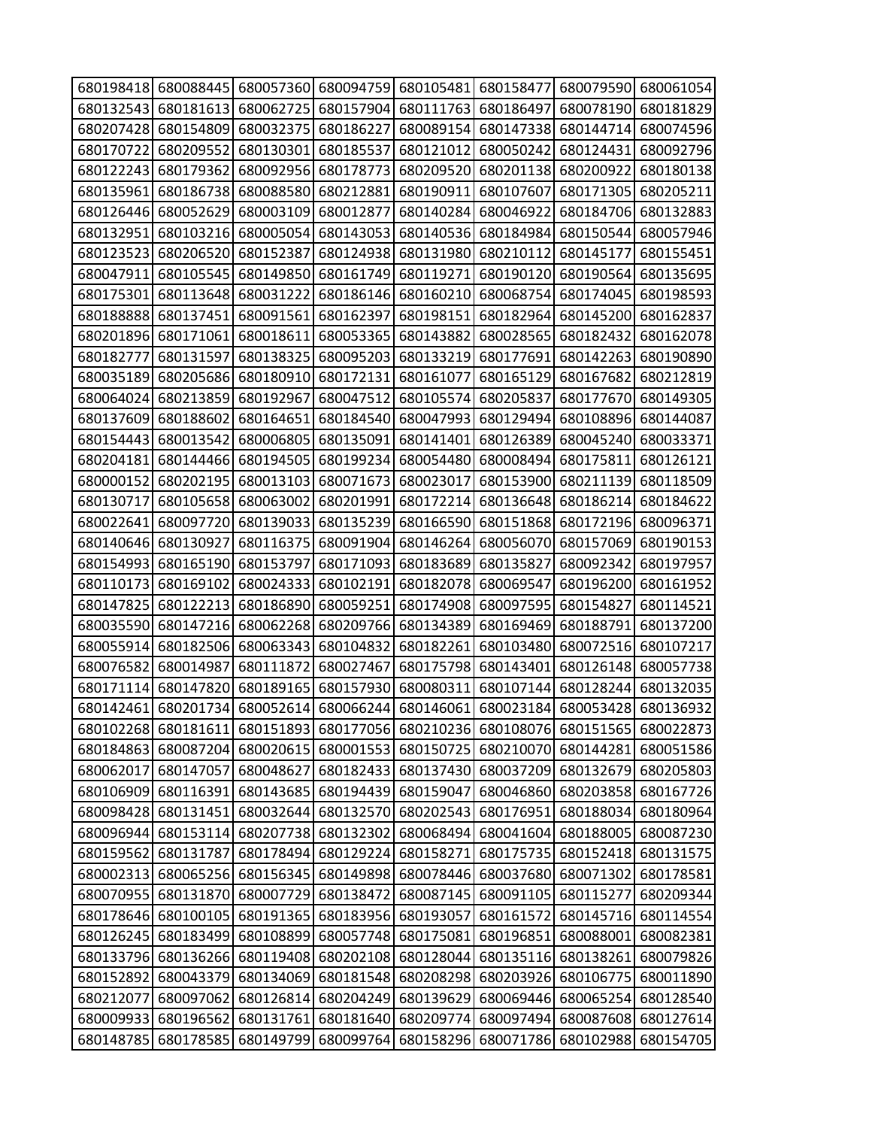|                     | 680198418 680088445 |           | 680057360 680094759           | 680105481 | 680158477           | 680079590                                                   | 680061054           |
|---------------------|---------------------|-----------|-------------------------------|-----------|---------------------|-------------------------------------------------------------|---------------------|
| 680132543           | 680181613           | 680062725 | 680157904                     | 680111763 | 680186497           | 680078190                                                   | 680181829           |
| 680207428           | 680154809           | 680032375 | 680186227                     | 680089154 | 680147338           | 680144714                                                   | 680074596           |
| 680170722           | 680209552           | 680130301 | 680185537                     | 680121012 | 680050242           | 680124431                                                   | 680092796           |
| 680122243           | 680179362           | 680092956 | 680178773                     | 680209520 | 680201138           | 680200922                                                   | 680180138           |
| 680135961           | 680186738           | 680088580 | 680212881                     | 680190911 | 680107607           | 680171305                                                   | 680205211           |
| 680126446           | 680052629           | 680003109 | 680012877                     | 680140284 | 680046922           | 680184706                                                   | 680132883           |
| 680132951           | 680103216           | 680005054 | 680143053                     | 680140536 | 680184984           | 680150544                                                   | 680057946           |
| 680123523           | 680206520           | 680152387 | 680124938                     | 680131980 | 680210112           | 680145177                                                   | 680155451           |
| 680047911           | 680105545           | 680149850 | 680161749                     | 680119271 | 680190120           | 680190564                                                   | 680135695           |
| 680175301           | 680113648           | 680031222 | 680186146                     | 680160210 | 680068754           | 680174045                                                   | 680198593           |
| 680188888           | 680137451           | 680091561 | 680162397                     | 680198151 | 680182964           | 680145200                                                   | 680162837           |
| 680201896           | 680171061           | 680018611 | 680053365                     | 680143882 | 680028565           | 680182432                                                   | 680162078           |
| 680182777           | 680131597           | 680138325 | 680095203                     | 680133219 | 680177691           | 680142263                                                   | 680190890           |
| 680035189           | 680205686           | 680180910 | 680172131                     | 680161077 | 680165129           | 680167682                                                   | 680212819           |
| 680064024           | 680213859           | 680192967 | 680047512                     | 680105574 | 680205837           | 680177670                                                   | 680149305           |
| 680137609           | 680188602           | 680164651 | 680184540                     | 680047993 | 680129494           | 680108896                                                   | 680144087           |
| 680154443           | 680013542           | 680006805 | 680135091                     | 680141401 | 680126389           | 680045240                                                   | 680033371           |
| 680204181           | 680144466           | 680194505 | 680199234                     | 680054480 | 680008494           | 680175811                                                   | 680126121           |
| 680000152           | 680202195           | 680013103 | 680071673                     | 680023017 | 680153900           | 680211139                                                   | 680118509           |
| 680130717           | 680105658           | 680063002 | 680201991                     | 680172214 | 680136648           | 680186214                                                   | 680184622           |
| 680022641           | 680097720           | 680139033 | 680135239                     | 680166590 | 680151868           | 680172196                                                   | 680096371           |
| 680140646           | 680130927           | 680116375 | 680091904                     | 680146264 | 680056070           | 680157069                                                   | 680190153           |
| 680154993           | 680165190           | 680153797 | 680171093                     | 680183689 | 680135827           | 680092342                                                   | 680197957           |
| 680110173           | 680169102           | 680024333 | 680102191                     | 680182078 | 680069547           | 680196200                                                   | 680161952           |
| 680147825           | 680122213           | 680186890 | 680059251                     | 680174908 | 680097595           | 680154827                                                   | 680114521           |
| 680035590           | 680147216           | 680062268 | 680209766                     | 680134389 | 680169469           | 680188791                                                   | 680137200           |
| 680055914           | 680182506           | 680063343 | 680104832                     | 680182261 | 680103480           | 680072516                                                   | 680107217           |
| 680076582           | 680014987           | 680111872 | 680027467                     | 680175798 | 680143401           | 680126148                                                   | 680057738           |
| 680171114           | 680147820           | 680189165 | 680157930                     | 680080311 | 680107144           | 680128244                                                   | 680132035           |
| 680142461           | 680201734           | 680052614 | 680066244                     | 680146061 | 680023184           |                                                             | 680053428 680136932 |
|                     | 680102268 680181611 |           |                               |           |                     | 680151893 680177056 680210236 680108076 680151565 680022873 |                     |
|                     | 680184863 680087204 |           | 680020615 680001553 680150725 |           |                     | 680210070 680144281                                         | 680051586           |
| 680062017           | 680147057           | 680048627 | 680182433                     | 680137430 | 680037209           | 680132679                                                   | 680205803           |
| 680106909           | 680116391           | 680143685 | 680194439                     | 680159047 | 680046860           | 680203858                                                   | 680167726           |
| 680098428           | 680131451           | 680032644 | 680132570                     |           | 680202543 680176951 | 680188034                                                   | 680180964           |
| 680096944           | 680153114           |           | 680207738 680132302           | 680068494 | 680041604           | 680188005                                                   | 680087230           |
| 680159562 680131787 |                     | 680178494 | 680129224                     | 680158271 | 680175735           |                                                             | 680152418 680131575 |
| 680002313           | 680065256           | 680156345 | 680149898                     | 680078446 | 680037680           | 680071302                                                   | 680178581           |
|                     | 680070955 680131870 | 680007729 | 680138472                     | 680087145 | 680091105           | 680115277                                                   | 680209344           |
|                     | 680178646 680100105 | 680191365 | 680183956                     | 680193057 | 680161572           | 680145716                                                   | 680114554           |
| 680126245           | 680183499           | 680108899 | 680057748                     | 680175081 | 680196851           | 680088001                                                   | 680082381           |
| 680133796           | 680136266           |           | 680119408 680202108           | 680128044 | 680135116           | 680138261                                                   | 680079826           |
| 680152892           | 680043379           | 680134069 | 680181548                     | 680208298 | 680203926           | 680106775                                                   | 680011890           |
| 680212077           | 680097062           |           | 680126814 680204249           | 680139629 | 680069446           | 680065254                                                   | 680128540           |
| 680009933           | 680196562           | 680131761 | 680181640                     | 680209774 | 680097494           | 680087608                                                   | 680127614           |
| 680148785           | 680178585           | 680149799 | 680099764                     | 680158296 | 680071786           | 680102988                                                   | 680154705           |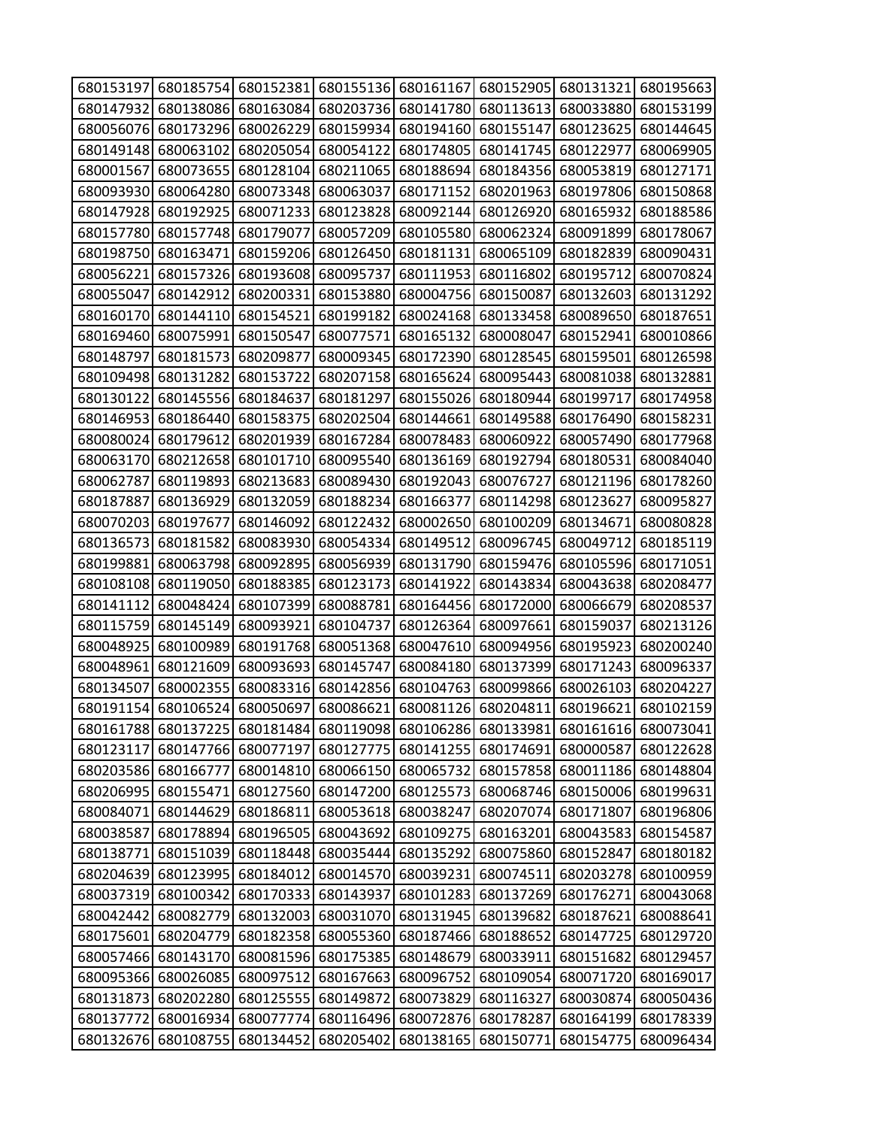| 680153197 |           | 680185754 680152381                                                             | 680155136                     | 680161167 | 680152905 | 680131321 | 680195663 |
|-----------|-----------|---------------------------------------------------------------------------------|-------------------------------|-----------|-----------|-----------|-----------|
| 680147932 | 680138086 | 680163084                                                                       | 680203736                     | 680141780 | 680113613 | 680033880 | 680153199 |
| 680056076 | 680173296 | 680026229                                                                       | 680159934                     | 680194160 | 680155147 | 680123625 | 680144645 |
| 680149148 | 680063102 | 680205054                                                                       | 680054122                     | 680174805 | 680141745 | 680122977 | 680069905 |
| 680001567 | 680073655 | 680128104                                                                       | 680211065                     | 680188694 | 680184356 | 680053819 | 680127171 |
| 680093930 | 680064280 | 680073348                                                                       | 680063037                     | 680171152 | 680201963 | 680197806 | 680150868 |
| 680147928 | 680192925 | 680071233                                                                       | 680123828                     | 680092144 | 680126920 | 680165932 | 680188586 |
| 680157780 | 680157748 | 680179077                                                                       | 680057209                     | 680105580 | 680062324 | 680091899 | 680178067 |
| 680198750 | 680163471 | 680159206                                                                       | 680126450                     | 680181131 | 680065109 | 680182839 | 680090431 |
| 680056221 | 680157326 | 680193608                                                                       | 680095737                     | 680111953 | 680116802 | 680195712 | 680070824 |
| 680055047 | 680142912 | 680200331                                                                       | 680153880                     | 680004756 | 680150087 | 680132603 | 680131292 |
| 680160170 | 680144110 | 680154521                                                                       | 680199182                     | 680024168 | 680133458 | 680089650 | 680187651 |
| 680169460 | 680075991 | 680150547                                                                       | 680077571                     | 680165132 | 680008047 | 680152941 | 680010866 |
| 680148797 | 680181573 | 680209877                                                                       | 680009345                     | 680172390 | 680128545 | 680159501 | 680126598 |
| 680109498 | 680131282 | 680153722                                                                       | 680207158                     | 680165624 | 680095443 | 680081038 | 680132881 |
| 680130122 | 680145556 | 680184637                                                                       | 680181297                     | 680155026 | 680180944 | 680199717 | 680174958 |
| 680146953 | 680186440 | 680158375                                                                       | 680202504                     | 680144661 | 680149588 | 680176490 | 680158231 |
| 680080024 | 680179612 | 680201939                                                                       | 680167284                     | 680078483 | 680060922 | 680057490 | 680177968 |
| 680063170 | 680212658 | 680101710                                                                       | 680095540                     | 680136169 | 680192794 | 680180531 | 680084040 |
| 680062787 | 680119893 | 680213683                                                                       | 680089430                     | 680192043 | 680076727 | 680121196 | 680178260 |
| 680187887 | 680136929 | 680132059                                                                       | 680188234                     | 680166377 | 680114298 | 680123627 | 680095827 |
| 680070203 | 680197677 | 680146092                                                                       | 680122432                     | 680002650 | 680100209 | 680134671 | 680080828 |
| 680136573 | 680181582 | 680083930                                                                       | 680054334                     | 680149512 | 680096745 | 680049712 | 680185119 |
| 680199881 | 680063798 | 680092895                                                                       | 680056939                     | 680131790 | 680159476 | 680105596 | 680171051 |
| 680108108 | 680119050 | 680188385                                                                       | 680123173                     | 680141922 | 680143834 | 680043638 | 680208477 |
| 680141112 | 680048424 | 680107399                                                                       | 680088781                     | 680164456 | 680172000 | 680066679 | 680208537 |
| 680115759 | 680145149 | 680093921                                                                       | 680104737                     | 680126364 | 680097661 | 680159037 | 680213126 |
| 680048925 | 680100989 | 680191768                                                                       | 680051368                     | 680047610 | 680094956 | 680195923 | 680200240 |
| 680048961 | 680121609 | 680093693                                                                       | 680145747                     | 680084180 | 680137399 | 680171243 | 680096337 |
| 680134507 | 680002355 | 680083316                                                                       | 680142856                     | 680104763 | 680099866 | 680026103 | 680204227 |
| 680191154 | 680106524 | 680050697                                                                       | 680086621                     | 680081126 | 680204811 | 680196621 | 680102159 |
|           |           | 680161788 680137225 680181484 680119098 680106286 680133981 680161616 680073041 |                               |           |           |           |           |
| 680123117 | 680147766 |                                                                                 | 680077197 680127775 680141255 |           | 680174691 | 680000587 | 680122628 |
| 680203586 | 680166777 | 680014810                                                                       | 680066150                     | 680065732 | 680157858 | 680011186 | 680148804 |
| 680206995 | 680155471 | 680127560                                                                       | 680147200                     | 680125573 | 680068746 | 680150006 | 680199631 |
| 680084071 | 680144629 | 680186811                                                                       | 680053618                     | 680038247 | 680207074 | 680171807 | 680196806 |
| 680038587 | 680178894 |                                                                                 | 680196505 680043692           | 680109275 | 680163201 | 680043583 | 680154587 |
| 680138771 | 680151039 | 680118448 680035444                                                             |                               | 680135292 | 680075860 | 680152847 | 680180182 |
| 680204639 | 680123995 | 680184012                                                                       | 680014570                     | 680039231 | 680074511 | 680203278 | 680100959 |
| 680037319 | 680100342 | 680170333                                                                       | 680143937                     | 680101283 | 680137269 | 680176271 | 680043068 |
| 680042442 | 680082779 | 680132003                                                                       | 680031070                     | 680131945 | 680139682 | 680187621 | 680088641 |
| 680175601 | 680204779 |                                                                                 | 680182358 680055360           | 680187466 | 680188652 | 680147725 | 680129720 |
| 680057466 | 680143170 |                                                                                 | 680081596 680175385           | 680148679 | 680033911 | 680151682 | 680129457 |
| 680095366 | 680026085 | 680097512                                                                       | 680167663                     | 680096752 | 680109054 | 680071720 | 680169017 |
| 680131873 | 680202280 |                                                                                 | 680125555 680149872           | 680073829 | 680116327 | 680030874 | 680050436 |
| 680137772 | 680016934 | 680077774                                                                       | 680116496                     | 680072876 | 680178287 | 680164199 | 680178339 |
| 680132676 | 680108755 | 680134452                                                                       | 680205402                     | 680138165 | 680150771 | 680154775 | 680096434 |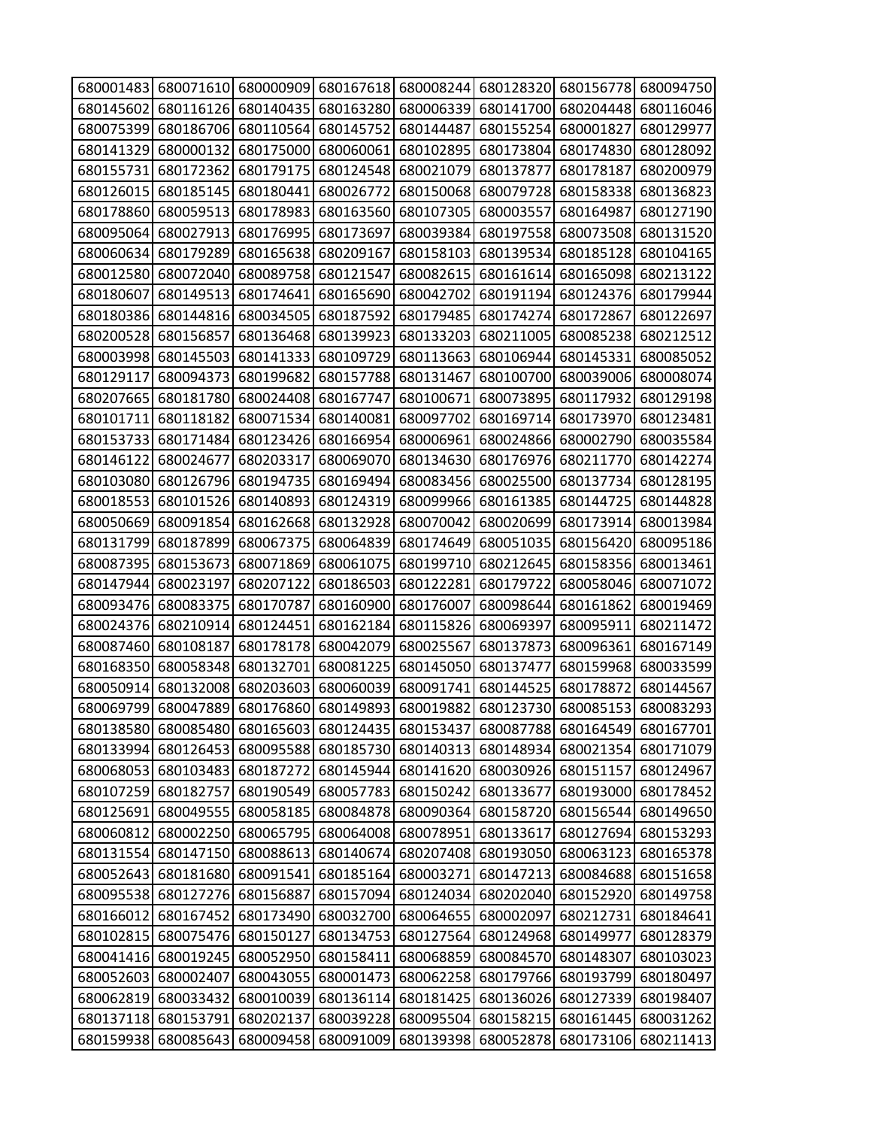|           |                     | 680001483 680071610 680000909 680167618 |                     |           | 680008244 680128320 | 680156778 | 680094750           |
|-----------|---------------------|-----------------------------------------|---------------------|-----------|---------------------|-----------|---------------------|
| 680145602 | 680116126           | 680140435                               | 680163280           | 680006339 | 680141700           | 680204448 | 680116046           |
| 680075399 | 680186706           | 680110564                               | 680145752           | 680144487 | 680155254           | 680001827 | 680129977           |
| 680141329 | 680000132           | 680175000                               | 680060061           | 680102895 | 680173804           | 680174830 | 680128092           |
| 680155731 | 680172362           | 680179175                               | 680124548           | 680021079 | 680137877           | 680178187 | 680200979           |
| 680126015 | 680185145           | 680180441                               | 680026772           | 680150068 | 680079728           | 680158338 | 680136823           |
| 680178860 | 680059513           | 680178983                               | 680163560           | 680107305 | 680003557           | 680164987 | 680127190           |
| 680095064 | 680027913           | 680176995                               | 680173697           | 680039384 | 680197558           | 680073508 | 680131520           |
| 680060634 | 680179289           | 680165638                               | 680209167           | 680158103 | 680139534           | 680185128 | 680104165           |
| 680012580 | 680072040           | 680089758                               | 680121547           | 680082615 | 680161614           | 680165098 | 680213122           |
| 680180607 | 680149513           | 680174641                               | 680165690           | 680042702 | 680191194           | 680124376 | 680179944           |
| 680180386 | 680144816           | 680034505                               | 680187592           | 680179485 | 680174274           | 680172867 | 680122697           |
| 680200528 | 680156857           | 680136468                               | 680139923           | 680133203 | 680211005           | 680085238 | 680212512           |
| 680003998 | 680145503           | 680141333                               | 680109729           | 680113663 | 680106944           | 680145331 | 680085052           |
| 680129117 | 680094373           | 680199682                               | 680157788           | 680131467 | 680100700           | 680039006 | 680008074           |
| 680207665 | 680181780           | 680024408                               | 680167747           | 680100671 | 680073895           | 680117932 | 680129198           |
| 680101711 | 680118182           | 680071534                               | 680140081           | 680097702 | 680169714           | 680173970 | 680123481           |
| 680153733 | 680171484           | 680123426                               | 680166954           | 680006961 | 680024866           | 680002790 | 680035584           |
| 680146122 | 680024677           | 680203317                               | 680069070           | 680134630 | 680176976           | 680211770 | 680142274           |
| 680103080 | 680126796           | 680194735                               | 680169494           | 680083456 | 680025500           | 680137734 | 680128195           |
| 680018553 | 680101526           | 680140893                               | 680124319           | 680099966 | 680161385           | 680144725 | 680144828           |
| 680050669 | 680091854           | 680162668                               | 680132928           | 680070042 | 680020699           | 680173914 | 680013984           |
| 680131799 | 680187899           | 680067375                               | 680064839           | 680174649 | 680051035           | 680156420 | 680095186           |
| 680087395 | 680153673           | 680071869                               | 680061075           | 680199710 | 680212645           | 680158356 | 680013461           |
| 680147944 | 680023197           | 680207122                               | 680186503           | 680122281 | 680179722           | 680058046 | 680071072           |
| 680093476 | 680083375           | 680170787                               | 680160900           | 680176007 | 680098644           | 680161862 | 680019469           |
| 680024376 | 680210914           | 680124451                               | 680162184           | 680115826 | 680069397           | 680095911 | 680211472           |
| 680087460 | 680108187           | 680178178                               | 680042079           | 680025567 | 680137873           | 680096361 | 680167149           |
| 680168350 | 680058348           | 680132701                               | 680081225           | 680145050 | 680137477           | 680159968 | 680033599           |
| 680050914 | 680132008           | 680203603                               | 680060039           | 680091741 | 680144525           | 680178872 | 680144567           |
|           | 680069799 680047889 |                                         | 680176860 680149893 | 680019882 | 680123730           |           | 680085153 680083293 |
|           | 680138580 680085480 | 680165603                               | 680124435 680153437 |           | 680087788           |           | 680164549 680167701 |
|           | 680133994 680126453 | 680095588                               | 680185730           | 680140313 | 680148934           | 680021354 | 680171079           |
|           | 680068053 680103483 | 680187272                               | 680145944           | 680141620 | 680030926           | 680151157 | 680124967           |
| 680107259 | 680182757           | 680190549                               | 680057783           | 680150242 | 680133677           | 680193000 | 680178452           |
| 680125691 | 680049555           | 680058185                               | 680084878           | 680090364 | 680158720           | 680156544 | 680149650           |
| 680060812 | 680002250           | 680065795                               | 680064008           | 680078951 | 680133617           | 680127694 | 680153293           |
|           | 680131554 680147150 | 680088613                               | 680140674           | 680207408 | 680193050           | 680063123 | 680165378           |
| 680052643 | 680181680           | 680091541                               | 680185164           | 680003271 | 680147213           | 680084688 | 680151658           |
| 680095538 | 680127276           | 680156887                               | 680157094           | 680124034 | 680202040           | 680152920 | 680149758           |
| 680166012 | 680167452           | 680173490                               | 680032700           | 680064655 | 680002097           | 680212731 | 680184641           |
| 680102815 | 680075476           | 680150127                               | 680134753           | 680127564 | 680124968           | 680149977 | 680128379           |
| 680041416 | 680019245           | 680052950                               | 680158411           | 680068859 | 680084570           | 680148307 | 680103023           |
| 680052603 | 680002407           | 680043055                               | 680001473           | 680062258 | 680179766           | 680193799 | 680180497           |
| 680062819 | 680033432           | 680010039                               | 680136114           | 680181425 | 680136026           | 680127339 | 680198407           |
| 680137118 | 680153791           | 680202137                               | 680039228           | 680095504 | 680158215           | 680161445 | 680031262           |
| 680159938 | 680085643           | 680009458                               | 680091009           | 680139398 | 680052878           | 680173106 | 680211413           |